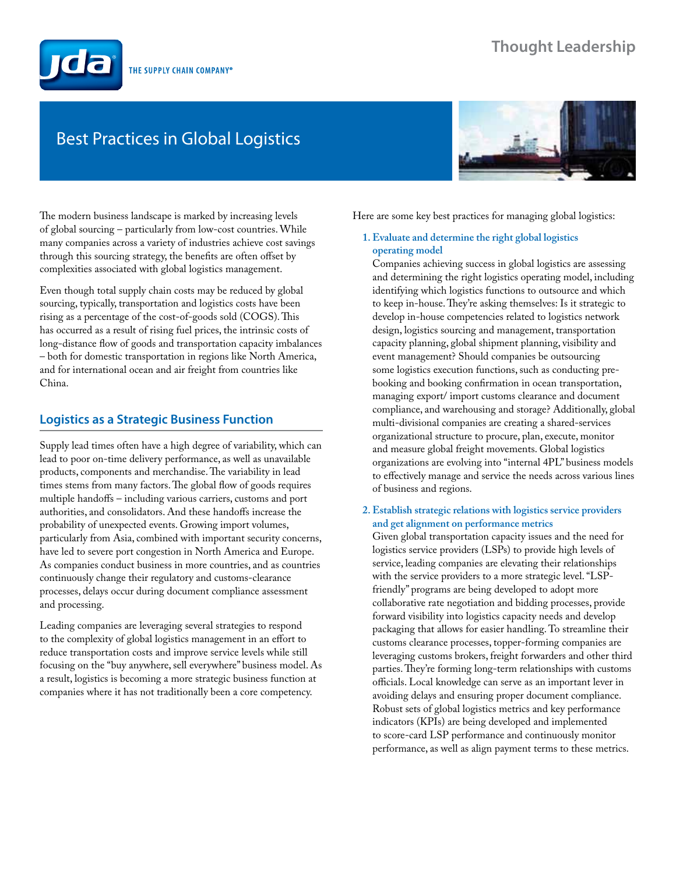# **Thought Leadership**



# Best Practices in Global Logistics



The modern business landscape is marked by increasing levels of global sourcing – particularly from low-cost countries. While many companies across a variety of industries achieve cost savings through this sourcing strategy, the benefits are often offset by complexities associated with global logistics management.

Even though total supply chain costs may be reduced by global sourcing, typically, transportation and logistics costs have been rising as a percentage of the cost-of-goods sold (COGS). This has occurred as a result of rising fuel prices, the intrinsic costs of long-distance flow of goods and transportation capacity imbalances – both for domestic transportation in regions like North America, and for international ocean and air freight from countries like China.

# **Logistics as a Strategic Business Function**

Supply lead times often have a high degree of variability, which can lead to poor on-time delivery performance, as well as unavailable products, components and merchandise. The variability in lead times stems from many factors. The global flow of goods requires multiple handoffs – including various carriers, customs and port authorities, and consolidators. And these handoffs increase the probability of unexpected events. Growing import volumes, particularly from Asia, combined with important security concerns, have led to severe port congestion in North America and Europe. As companies conduct business in more countries, and as countries continuously change their regulatory and customs-clearance processes, delays occur during document compliance assessment and processing.

Leading companies are leveraging several strategies to respond to the complexity of global logistics management in an effort to reduce transportation costs and improve service levels while still focusing on the "buy anywhere, sell everywhere" business model. As a result, logistics is becoming a more strategic business function at companies where it has not traditionally been a core competency.

Here are some key best practices for managing global logistics:

## **1. Evaluate and determine the right global logistics operating model**

Companies achieving success in global logistics are assessing and determining the right logistics operating model, including identifying which logistics functions to outsource and which to keep in-house. They're asking themselves: Is it strategic to develop in-house competencies related to logistics network design, logistics sourcing and management, transportation capacity planning, global shipment planning, visibility and event management? Should companies be outsourcing some logistics execution functions, such as conducting prebooking and booking confirmation in ocean transportation, managing export/ import customs clearance and document compliance, and warehousing and storage? Additionally, global multi-divisional companies are creating a shared-services organizational structure to procure, plan, execute, monitor and measure global freight movements. Global logistics organizations are evolving into "internal 4PL" business models to effectively manage and service the needs across various lines of business and regions.

## **2. Establish strategic relations with logistics service providers and get alignment on performance metrics**

Given global transportation capacity issues and the need for logistics service providers (LSPs) to provide high levels of service, leading companies are elevating their relationships with the service providers to a more strategic level. "LSPfriendly" programs are being developed to adopt more collaborative rate negotiation and bidding processes, provide forward visibility into logistics capacity needs and develop packaging that allows for easier handling. To streamline their customs clearance processes, topper-forming companies are leveraging customs brokers, freight forwarders and other third parties. They're forming long-term relationships with customs officials. Local knowledge can serve as an important lever in avoiding delays and ensuring proper document compliance. Robust sets of global logistics metrics and key performance indicators (KPIs) are being developed and implemented to score-card LSP performance and continuously monitor performance, as well as align payment terms to these metrics.